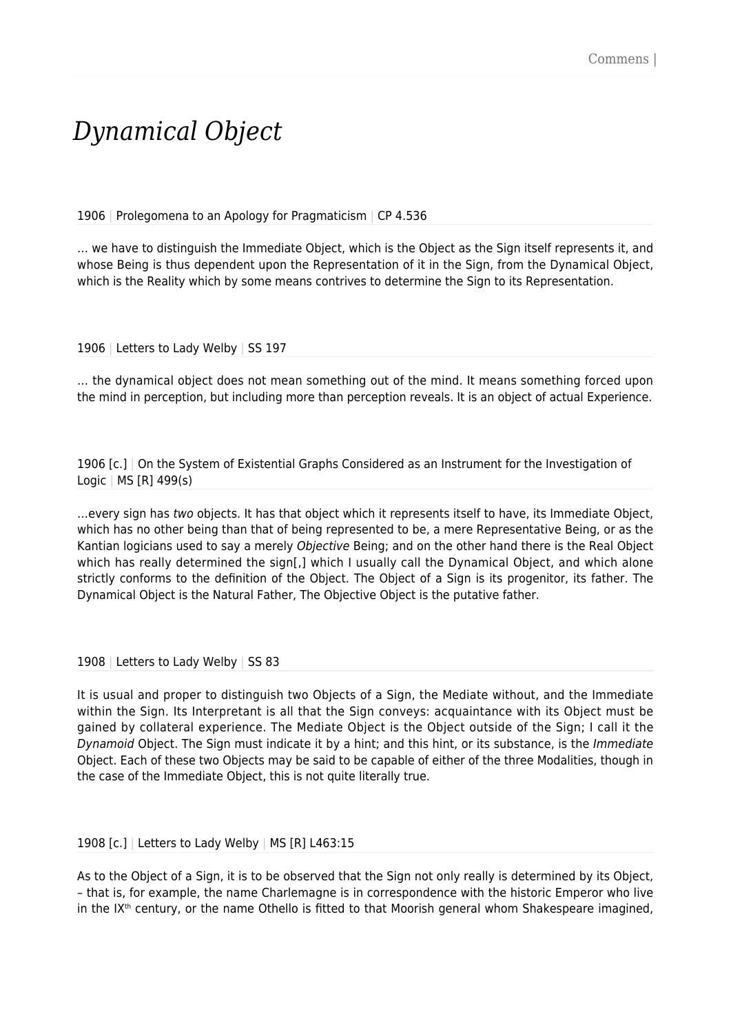## *Dynamical Object*

1906 | Prolegomena to an Apology for Pragmaticism | CP 4.536

… we have to distinguish the Immediate Object, which is the Object as the Sign itself represents it, and whose Being is thus dependent upon the Representation of it in the Sign, from the Dynamical Object, which is the Reality which by some means contrives to determine the Sign to its Representation.

1906 | Letters to Lady Welby | SS 197

… the dynamical object does not mean something out of the mind. It means something forced upon the mind in perception, but including more than perception reveals. It is an object of actual Experience.

1906 [c.] | On the System of Existential Graphs Considered as an Instrument for the Investigation of Logic | MS [R] 499(s)

…every sign has two objects. It has that object which it represents itself to have, its Immediate Object, which has no other being than that of being represented to be, a mere Representative Being, or as the Kantian logicians used to say a merely Objective Being; and on the other hand there is the Real Object which has really determined the sign[,] which I usually call the Dynamical Object, and which alone strictly conforms to the definition of the Object. The Object of a Sign is its progenitor, its father. The Dynamical Object is the Natural Father, The Objective Object is the putative father.

1908 | Letters to Lady Welby | SS 83

It is usual and proper to distinguish two Objects of a Sign, the Mediate without, and the Immediate within the Sign. Its Interpretant is all that the Sign conveys: acquaintance with its Object must be gained by collateral experience. The Mediate Object is the Object outside of the Sign; I call it the Dynamoid Object. The Sign must indicate it by a hint; and this hint, or its substance, is the Immediate Object. Each of these two Objects may be said to be capable of either of the three Modalities, though in the case of the Immediate Object, this is not quite literally true.

1908 [c.] | Letters to Lady Welby | MS [R] L463:15

As to the Object of a Sign, it is to be observed that the Sign not only really is determined by its Object, – that is, for example, the name Charlemagne is in correspondence with the historic Emperor who live in the  $IX<sup>th</sup>$  century, or the name Othello is fitted to that Moorish general whom Shakespeare imagined,